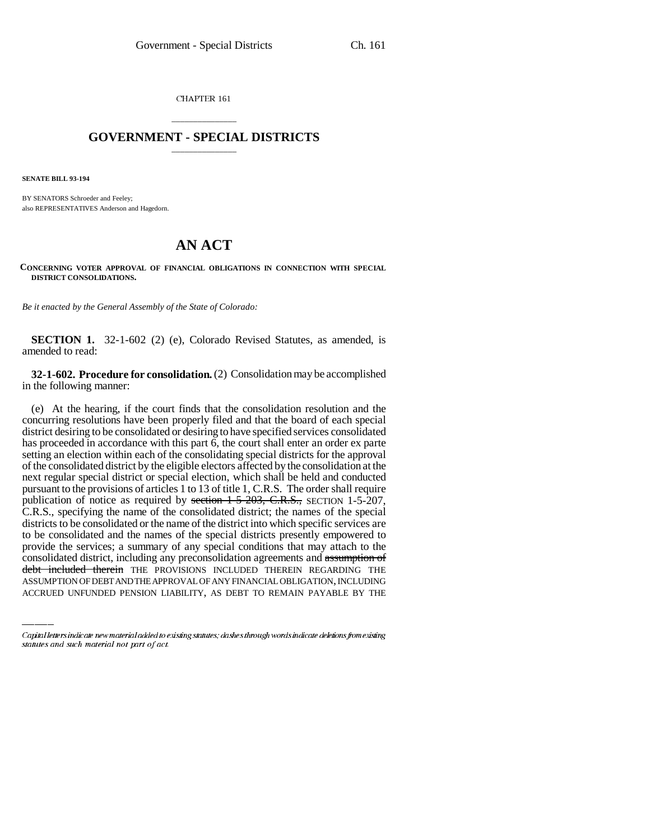CHAPTER 161

## \_\_\_\_\_\_\_\_\_\_\_\_\_\_\_ **GOVERNMENT - SPECIAL DISTRICTS** \_\_\_\_\_\_\_\_\_\_\_\_\_\_\_

**SENATE BILL 93-194**

BY SENATORS Schroeder and Feeley; also REPRESENTATIVES Anderson and Hagedorn.

## **AN ACT**

**CONCERNING VOTER APPROVAL OF FINANCIAL OBLIGATIONS IN CONNECTION WITH SPECIAL DISTRICT CONSOLIDATIONS.**

*Be it enacted by the General Assembly of the State of Colorado:*

**SECTION 1.** 32-1-602 (2) (e), Colorado Revised Statutes, as amended, is amended to read:

**32-1-602. Procedure for consolidation.** (2) Consolidation may be accomplished in the following manner:

provide the services; a summary of any special conditions that may attach to the (e) At the hearing, if the court finds that the consolidation resolution and the concurring resolutions have been properly filed and that the board of each special district desiring to be consolidated or desiring to have specified services consolidated has proceeded in accordance with this part 6, the court shall enter an order ex parte setting an election within each of the consolidating special districts for the approval of the consolidated district by the eligible electors affected by the consolidation at the next regular special district or special election, which shall be held and conducted pursuant to the provisions of articles 1 to 13 of title 1, C.R.S. The order shall require publication of notice as required by section 1-5-203, C.R.S., SECTION 1-5-207, C.R.S., specifying the name of the consolidated district; the names of the special districts to be consolidated or the name of the district into which specific services are to be consolidated and the names of the special districts presently empowered to consolidated district, including any preconsolidation agreements and assumption of debt included therein THE PROVISIONS INCLUDED THEREIN REGARDING THE ASSUMPTION OF DEBT AND THE APPROVAL OF ANY FINANCIAL OBLIGATION, INCLUDING ACCRUED UNFUNDED PENSION LIABILITY, AS DEBT TO REMAIN PAYABLE BY THE

Capital letters indicate new material added to existing statutes; dashes through words indicate deletions from existing statutes and such material not part of act.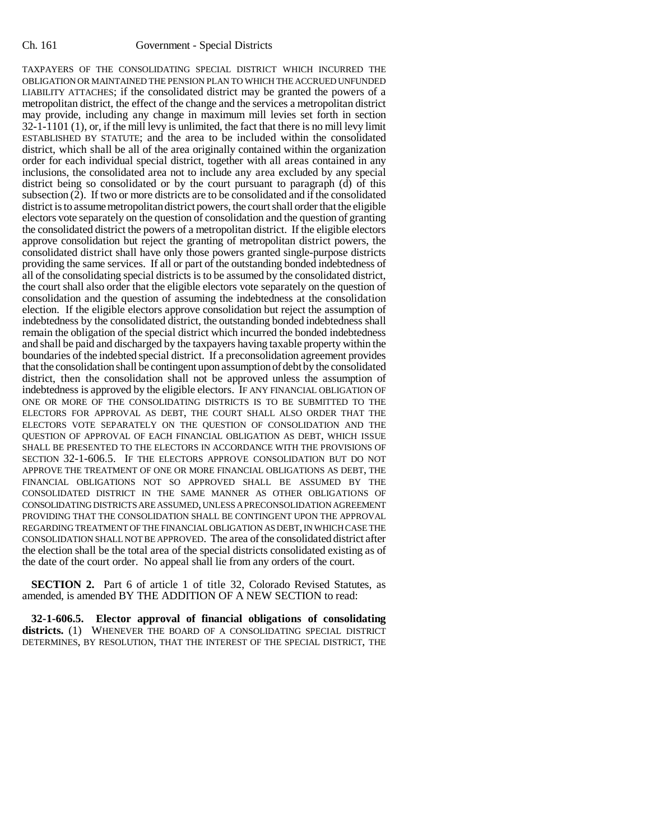TAXPAYERS OF THE CONSOLIDATING SPECIAL DISTRICT WHICH INCURRED THE OBLIGATION OR MAINTAINED THE PENSION PLAN TO WHICH THE ACCRUED UNFUNDED LIABILITY ATTACHES; if the consolidated district may be granted the powers of a metropolitan district, the effect of the change and the services a metropolitan district may provide, including any change in maximum mill levies set forth in section 32-1-1101 (1), or, if the mill levy is unlimited, the fact that there is no mill levy limit ESTABLISHED BY STATUTE; and the area to be included within the consolidated district, which shall be all of the area originally contained within the organization order for each individual special district, together with all areas contained in any inclusions, the consolidated area not to include any area excluded by any special district being so consolidated or by the court pursuant to paragraph (d) of this subsection (2). If two or more districts are to be consolidated and if the consolidated district is to assume metropolitan district powers, the court shall order that the eligible electors vote separately on the question of consolidation and the question of granting the consolidated district the powers of a metropolitan district. If the eligible electors approve consolidation but reject the granting of metropolitan district powers, the consolidated district shall have only those powers granted single-purpose districts providing the same services. If all or part of the outstanding bonded indebtedness of all of the consolidating special districts is to be assumed by the consolidated district, the court shall also order that the eligible electors vote separately on the question of consolidation and the question of assuming the indebtedness at the consolidation election. If the eligible electors approve consolidation but reject the assumption of indebtedness by the consolidated district, the outstanding bonded indebtedness shall remain the obligation of the special district which incurred the bonded indebtedness and shall be paid and discharged by the taxpayers having taxable property within the boundaries of the indebted special district. If a preconsolidation agreement provides that the consolidation shall be contingent upon assumption of debt by the consolidated district, then the consolidation shall not be approved unless the assumption of indebtedness is approved by the eligible electors. IF ANY FINANCIAL OBLIGATION OF ONE OR MORE OF THE CONSOLIDATING DISTRICTS IS TO BE SUBMITTED TO THE ELECTORS FOR APPROVAL AS DEBT, THE COURT SHALL ALSO ORDER THAT THE ELECTORS VOTE SEPARATELY ON THE QUESTION OF CONSOLIDATION AND THE QUESTION OF APPROVAL OF EACH FINANCIAL OBLIGATION AS DEBT, WHICH ISSUE SHALL BE PRESENTED TO THE ELECTORS IN ACCORDANCE WITH THE PROVISIONS OF SECTION 32-1-606.5. IF THE ELECTORS APPROVE CONSOLIDATION BUT DO NOT APPROVE THE TREATMENT OF ONE OR MORE FINANCIAL OBLIGATIONS AS DEBT, THE FINANCIAL OBLIGATIONS NOT SO APPROVED SHALL BE ASSUMED BY THE CONSOLIDATED DISTRICT IN THE SAME MANNER AS OTHER OBLIGATIONS OF CONSOLIDATING DISTRICTS ARE ASSUMED, UNLESS A PRECONSOLIDATION AGREEMENT PROVIDING THAT THE CONSOLIDATION SHALL BE CONTINGENT UPON THE APPROVAL REGARDING TREATMENT OF THE FINANCIAL OBLIGATION AS DEBT, IN WHICH CASE THE CONSOLIDATION SHALL NOT BE APPROVED. The area of the consolidated district after the election shall be the total area of the special districts consolidated existing as of the date of the court order. No appeal shall lie from any orders of the court.

**SECTION 2.** Part 6 of article 1 of title 32, Colorado Revised Statutes, as amended, is amended BY THE ADDITION OF A NEW SECTION to read:

**32-1-606.5. Elector approval of financial obligations of consolidating districts.** (1) WHENEVER THE BOARD OF A CONSOLIDATING SPECIAL DISTRICT DETERMINES, BY RESOLUTION, THAT THE INTEREST OF THE SPECIAL DISTRICT, THE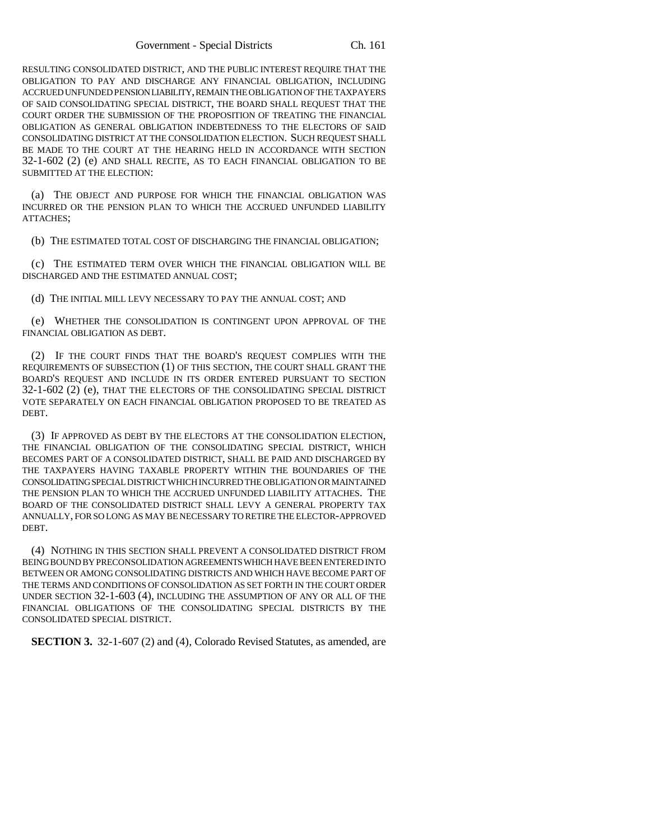RESULTING CONSOLIDATED DISTRICT, AND THE PUBLIC INTEREST REQUIRE THAT THE OBLIGATION TO PAY AND DISCHARGE ANY FINANCIAL OBLIGATION, INCLUDING ACCRUED UNFUNDED PENSION LIABILITY, REMAIN THE OBLIGATION OF THE TAXPAYERS OF SAID CONSOLIDATING SPECIAL DISTRICT, THE BOARD SHALL REQUEST THAT THE COURT ORDER THE SUBMISSION OF THE PROPOSITION OF TREATING THE FINANCIAL OBLIGATION AS GENERAL OBLIGATION INDEBTEDNESS TO THE ELECTORS OF SAID CONSOLIDATING DISTRICT AT THE CONSOLIDATION ELECTION. SUCH REQUEST SHALL BE MADE TO THE COURT AT THE HEARING HELD IN ACCORDANCE WITH SECTION 32-1-602 (2) (e) AND SHALL RECITE, AS TO EACH FINANCIAL OBLIGATION TO BE SUBMITTED AT THE ELECTION:

(a) THE OBJECT AND PURPOSE FOR WHICH THE FINANCIAL OBLIGATION WAS INCURRED OR THE PENSION PLAN TO WHICH THE ACCRUED UNFUNDED LIABILITY ATTACHES;

(b) THE ESTIMATED TOTAL COST OF DISCHARGING THE FINANCIAL OBLIGATION;

(c) THE ESTIMATED TERM OVER WHICH THE FINANCIAL OBLIGATION WILL BE DISCHARGED AND THE ESTIMATED ANNUAL COST;

(d) THE INITIAL MILL LEVY NECESSARY TO PAY THE ANNUAL COST; AND

(e) WHETHER THE CONSOLIDATION IS CONTINGENT UPON APPROVAL OF THE FINANCIAL OBLIGATION AS DEBT.

(2) IF THE COURT FINDS THAT THE BOARD'S REQUEST COMPLIES WITH THE REQUIREMENTS OF SUBSECTION (1) OF THIS SECTION, THE COURT SHALL GRANT THE BOARD'S REQUEST AND INCLUDE IN ITS ORDER ENTERED PURSUANT TO SECTION 32-1-602 (2) (e), THAT THE ELECTORS OF THE CONSOLIDATING SPECIAL DISTRICT VOTE SEPARATELY ON EACH FINANCIAL OBLIGATION PROPOSED TO BE TREATED AS DEBT.

(3) IF APPROVED AS DEBT BY THE ELECTORS AT THE CONSOLIDATION ELECTION, THE FINANCIAL OBLIGATION OF THE CONSOLIDATING SPECIAL DISTRICT, WHICH BECOMES PART OF A CONSOLIDATED DISTRICT, SHALL BE PAID AND DISCHARGED BY THE TAXPAYERS HAVING TAXABLE PROPERTY WITHIN THE BOUNDARIES OF THE CONSOLIDATING SPECIAL DISTRICT WHICH INCURRED THE OBLIGATION OR MAINTAINED THE PENSION PLAN TO WHICH THE ACCRUED UNFUNDED LIABILITY ATTACHES. THE BOARD OF THE CONSOLIDATED DISTRICT SHALL LEVY A GENERAL PROPERTY TAX ANNUALLY, FOR SO LONG AS MAY BE NECESSARY TO RETIRE THE ELECTOR-APPROVED DEBT.

(4) NOTHING IN THIS SECTION SHALL PREVENT A CONSOLIDATED DISTRICT FROM BEING BOUND BY PRECONSOLIDATION AGREEMENTS WHICH HAVE BEEN ENTERED INTO BETWEEN OR AMONG CONSOLIDATING DISTRICTS AND WHICH HAVE BECOME PART OF THE TERMS AND CONDITIONS OF CONSOLIDATION AS SET FORTH IN THE COURT ORDER UNDER SECTION 32-1-603 (4), INCLUDING THE ASSUMPTION OF ANY OR ALL OF THE FINANCIAL OBLIGATIONS OF THE CONSOLIDATING SPECIAL DISTRICTS BY THE CONSOLIDATED SPECIAL DISTRICT.

**SECTION 3.** 32-1-607 (2) and (4), Colorado Revised Statutes, as amended, are